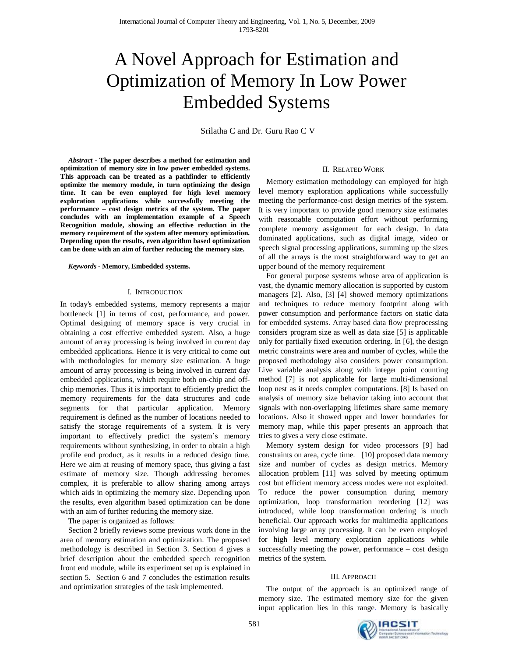# A Novel Approach for Estimation and Optimization of Memory In Low Power Embedded Systems

Srilatha C and Dr. Guru Rao C V

*Abstract -* **The paper describes a method for estimation and optimization of memory size in low power embedded systems. This approach can be treated as a pathfinder to efficiently optimize the memory module, in turn optimizing the design time. It can be even employed for high level memory exploration applications while successfully meeting the performance – cost design metrics of the system. The paper concludes with an implementation example of a Speech Recognition module, showing an effective reduction in the memory requirement of the system after memory optimization. Depending upon the results, even algorithm based optimization can be done with an aim of further reducing the memory size.** 

*Keywords -* **Memory, Embedded systems.** 

# I. INTRODUCTION

In today's embedded systems, memory represents a major bottleneck [1] in terms of cost, performance, and power. Optimal designing of memory space is very crucial in obtaining a cost effective embedded system. Also, a huge amount of array processing is being involved in current day embedded applications. Hence it is very critical to come out with methodologies for memory size estimation. A huge amount of array processing is being involved in current day embedded applications, which require both on-chip and offchip memories. Thus it is important to efficiently predict the memory requirements for the data structures and code segments for that particular application. Memory requirement is defined as the number of locations needed to satisfy the storage requirements of a system. It is very important to effectively predict the system's memory requirements without synthesizing, in order to obtain a high profile end product, as it results in a reduced design time. Here we aim at reusing of memory space, thus giving a fast estimate of memory size. Though addressing becomes complex, it is preferable to allow sharing among arrays which aids in optimizing the memory size. Depending upon the results, even algorithm based optimization can be done with an aim of further reducing the memory size.

The paper is organized as follows:

Section 2 briefly reviews some previous work done in the area of memory estimation and optimization. The proposed methodology is described in Section 3. Section 4 gives a brief description about the embedded speech recognition front end module, while its experiment set up is explained in section 5. Section 6 and 7 concludes the estimation results and optimization strategies of the task implemented.

# II. RELATED WORK

Memory estimation methodology can employed for high level memory exploration applications while successfully meeting the performance-cost design metrics of the system. It is very important to provide good memory size estimates with reasonable computation effort without performing complete memory assignment for each design. In data dominated applications, such as digital image, video or speech signal processing applications, summing up the sizes of all the arrays is the most straightforward way to get an upper bound of the memory requirement

For general purpose systems whose area of application is vast, the dynamic memory allocation is supported by custom managers [2]. Also, [3] [4] showed memory optimizations and techniques to reduce memory footprint along with power consumption and performance factors on static data for embedded systems. Array based data flow preprocessing considers program size as well as data size [5] is applicable only for partially fixed execution ordering. In [6], the design metric constraints were area and number of cycles, while the proposed methodology also considers power consumption. Live variable analysis along with integer point counting method [7] is not applicable for large multi-dimensional loop nest as it needs complex computations. [8] Is based on analysis of memory size behavior taking into account that signals with non-overlapping lifetimes share same memory locations. Also it showed upper and lower boundaries for memory map, while this paper presents an approach that tries to gives a very close estimate.

Memory system design for video processors [9] had constraints on area, cycle time. [10] proposed data memory size and number of cycles as design metrics. Memory allocation problem [11] was solved by meeting optimum cost but efficient memory access modes were not exploited. To reduce the power consumption during memory optimization, loop transformation reordering [12] was introduced, while loop transformation ordering is much beneficial. Our approach works for multimedia applications involving large array processing. It can be even employed for high level memory exploration applications while successfully meeting the power, performance – cost design metrics of the system.

# III. APPROACH

The output of the approach is an optimized range of memory size. The estimated memory size for the given input application lies in this range. Memory is basically

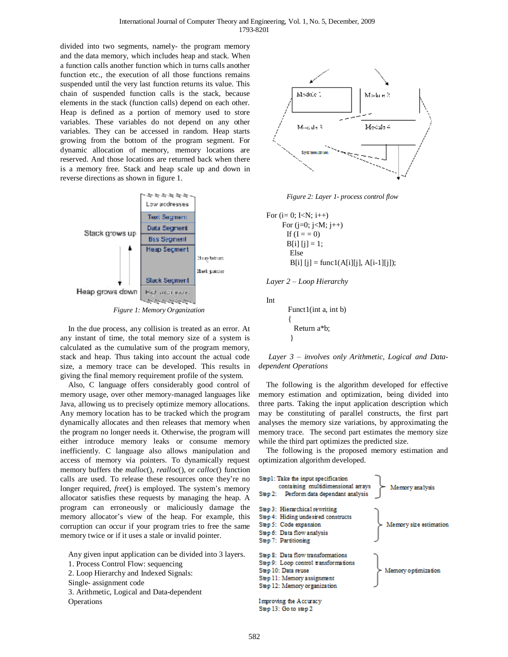divided into two segments, namely- the program memory and the data memory, which includes heap and stack. When a function calls another function which in turns calls another function etc., the execution of all those functions remains suspended until the very last function returns its value. This chain of suspended function calls is the stack, because elements in the stack (function calls) depend on each other. Heap is defined as a portion of memory used to store variables. These variables do not depend on any other variables. They can be accessed in random. Heap starts growing from the bottom of the program segment. For dynamic allocation of memory, memory locations are reserved. And those locations are returned back when there is a memory free. Stack and heap scale up and down in reverse directions as shown in figure 1.



In the due process, any collision is treated as an error. At any instant of time, the total memory size of a system is calculated as the cumulative sum of the program memory, stack and heap. Thus taking into account the actual code size, a memory trace can be developed. This results in giving the final memory requirement profile of the system.

Also, C language offers considerably good control of memory usage, over other memory-managed languages like Java, allowing us to precisely optimize memory allocations. Any memory location has to be tracked which the program dynamically allocates and then releases that memory when the program no longer needs it. Otherwise, the program will either introduce memory leaks or consume memory inefficiently. C language also allows manipulation and access of memory via pointers. To dynamically request memory buffers the *malloc*(), *realloc*(), or *calloc*() function calls are used. To release these resources once they're no longer required, *free*() is employed. The system's memory allocator satisfies these requests by managing the heap. A program can erroneously or maliciously damage the memory allocator's view of the heap. For example, this corruption can occur if your program tries to free the same memory twice or if it uses a stale or invalid pointer.

Any given input application can be divided into 3 layers.

- 1. Process Control Flow: sequencing
- 2. Loop Hierarchy and Indexed Signals:
- Single- assignment code
- 3. Arithmetic, Logical and Data-dependent

**Operations** 



*Figure 2: Layer 1- process control flow* 

For  $(i= 0; KN; i++)$ For  $(i=0; j$ If  $(I = 0)$  $B[i] [j] = 1;$  Else  $B[i] [j] = \text{func1}(A[i][j], A[i-1][j]);$ 

$$
Layer\ 2 - Loop\ Hierarchy
$$

Int

 Funct1(int a, int b) { Return a\*b; }

*Layer 3 – involves only Arithmetic, Logical and Datadependent Operations* 

The following is the algorithm developed for effective memory estimation and optimization, being divided into three parts. Taking the input application description which may be constituting of parallel constructs, the first part analyses the memory size variations, by approximating the memory trace. The second part estimates the memory size while the third part optimizes the predicted size.

The following is the proposed memory estimation and optimization algorithm developed.

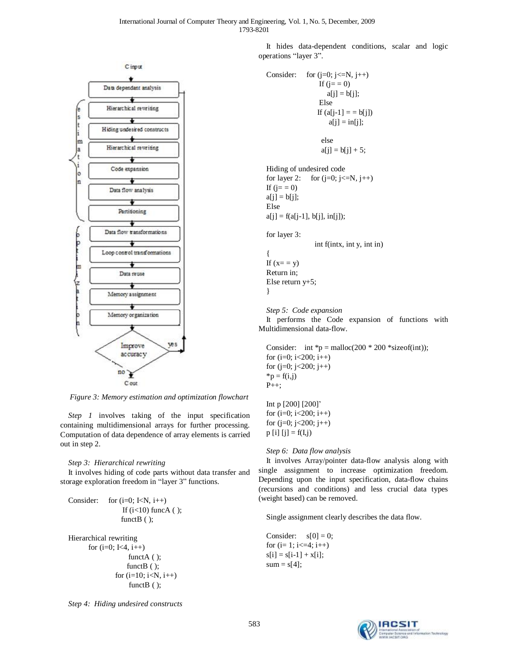

*Figure 3: Memory estimation and optimization flowchart* 

*Step 1* involves taking of the input specification containing multidimensional arrays for further processing. Computation of data dependence of array elements is carried out in step 2.

# *Step 3: Hierarchical rewriting*

It involves hiding of code parts without data transfer and storage exploration freedom in "layer 3" functions.

```
Consider: for (i=0; KN, i++)If (i<10) funcA ( );
                functB ( );
```

```
Hierarchical rewriting 
      for (i=0; K=4, i++)functA ( );
                   functB ( );
               for (i=10; i < N, i++)functB ( );
```
It hides data-dependent conditions, scalar and logic operations "layer 3".

```
Consider: for (j=0; j<=N, j++)If (j = 0)a[i] = b[i]; Else 
                 If (a[j-1] = b[j])a[j] = in[j]; else 
                  a[j] = b[j] + 5;Hiding of undesired code 
for layer 2: for (j=0; j<=N, j++)If (j = 0)a[i] = b[i];Else 
a[i] = f(a[i-1], b[i], in[i]);
for layer 3: 
                int f(intx, int y, int in) 
{ 
If (x = y)Return in; 
Else return y+5; 
}
```
*Step 5: Code expansion* 

It performs the Code expansion of functions with Multidimensional data-flow.

Consider: int  ${}^*\mathsf{p} = \text{malloc}(200 \times 200 \times \text{sizeof(int)})$ ; for  $(i=0; i<200; i++)$ for  $(j=0; j<200; j++)$  $*<sub>p</sub> = f(i,j)$  $P_{++}$ :

Int p [200] [200]' for  $(i=0; i<200; i++)$ for  $(j=0; j<200; j++)$  $p [i] [j] = f(I, j)$ 

*Step 6: Data flow analysis* 

It involves Array/pointer data-flow analysis along with single assignment to increase optimization freedom. Depending upon the input specification, data-flow chains (recursions and conditions) and less crucial data types (weight based) can be removed.

Single assignment clearly describes the data flow.

Consider:  $s[0] = 0$ ; for  $(i=1; i \leq 4; i++)$  $s[i] = s[i-1] + x[i];$  $sum = s[4]$ ;

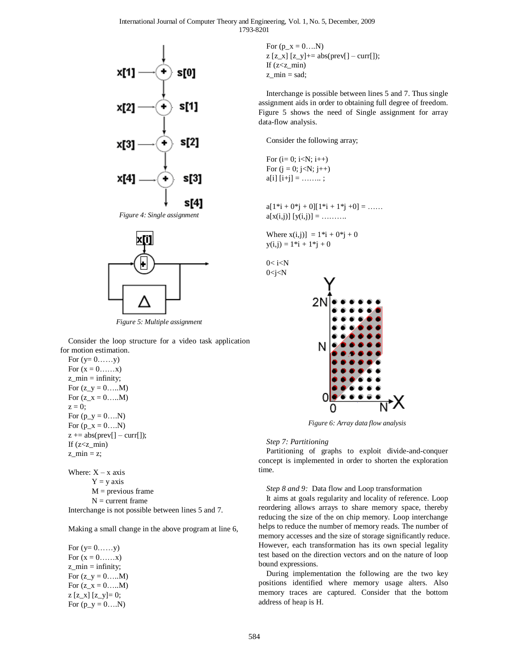International Journal of Computer Theory and Engineering, Vol. 1, No. 5, December, 2009 1793-8201



*Figure 4: Single assignment* 



*Figure 5: Multiple assignment*

Consider the loop structure for a video task application for motion estimation.

For  $(y=0,\ldots,y)$ For  $(x = 0, \ldots, x)$  $z$ <sub>min</sub> = infinity; For  $(z_y = 0, \ldots, M)$ For  $(z_x = 0, \ldots, M)$  $z = 0$ ; For  $(p_y = 0...N)$ For  $(p_x = 0...N)$  $z == abs(prev[] - curr[]);$ If  $(z min)$ z  $min = z$ ;

Where:  $X - x$  axis  $Y = y$  axis  $M =$  previous frame  $N =$  current frame Interchange is not possible between lines 5 and 7.

Making a small change in the above program at line 6,

For  $(y=0,\ldots,y)$ For  $(x = 0, \ldots, x)$  $z$  min = infinity; For  $(z_y = 0, \ldots, M)$ For  $(z_x = 0, \ldots, M)$  $z [z_x] [z_y] = 0;$ For  $(p_y = 0...N)$ 

For  $(p_x = 0...N)$  $z$  [z\_x] [z\_y]+= abs(prev[] – curr[]); If  $(z min)$  $z$  min = sad;

Interchange is possible between lines 5 and 7. Thus single assignment aids in order to obtaining full degree of freedom. Figure 5 shows the need of Single assignment for array data-flow analysis.

Consider the following array;

For  $(i= 0; i < N; i++)$ For  $(j = 0; j < N; j++)$  $a[i] [i+j] = \ldots \ldots;$ 

 $a[1^*i + 0^*j + 0][1^*i + 1^*j + 0] = \dots$  $a[x(i,j)] [y(i,j)] = \ldots$ 

Where  $x(i, j) = 1 * i + 0 * j + 0$  $y(i, j) = 1 * i + 1 * j + 0$ 

 $0 < i < N$  $0 < j < N$ 



*Figure 6: Array data flow analysis* 

# *Step 7: Partitioning*

Partitioning of graphs to exploit divide-and-conquer concept is implemented in order to shorten the exploration time.

# *Step 8 and 9:* Data flow and Loop transformation

It aims at goals regularity and locality of reference. Loop reordering allows arrays to share memory space, thereby reducing the size of the on chip memory. Loop interchange helps to reduce the number of memory reads. The number of memory accesses and the size of storage significantly reduce. However, each transformation has its own special legality test based on the direction vectors and on the nature of loop bound expressions.

During implementation the following are the two key positions identified where memory usage alters. Also memory traces are captured. Consider that the bottom address of heap is H.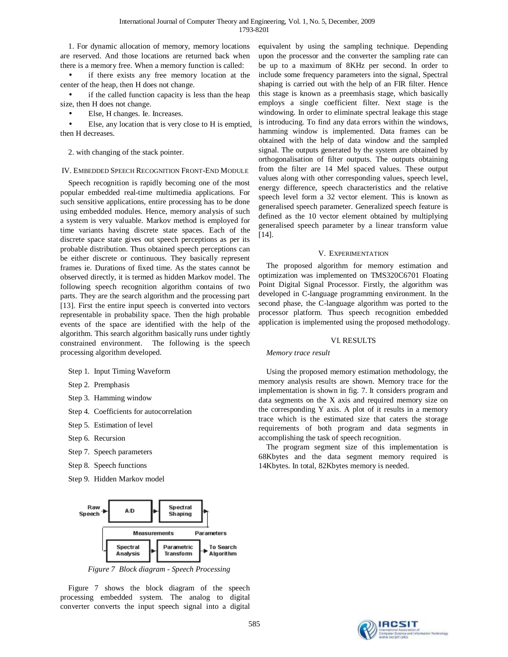1. For dynamic allocation of memory, memory locations are reserved. And those locations are returned back when there is a memory free. When a memory function is called:

if there exists any free memory location at the center of the heap, then H does not change.

if the called function capacity is less than the heap size, then H does not change.

• Else, H changes. Ie. Increases.

Else, any location that is very close to H is emptied, then H decreases.

2. with changing of the stack pointer.

# IV. EMBEDDED SPEECH RECOGNITION FRONT-END MODULE

Speech recognition is rapidly becoming one of the most popular embedded real-time multimedia applications. For such sensitive applications, entire processing has to be done using embedded modules. Hence, memory analysis of such a system is very valuable. Markov method is employed for time variants having discrete state spaces. Each of the discrete space state gives out speech perceptions as per its probable distribution. Thus obtained speech perceptions can be either discrete or continuous. They basically represent frames ie. Durations of fixed time. As the states cannot be observed directly, it is termed as hidden Markov model. The following speech recognition algorithm contains of two parts. They are the search algorithm and the processing part [13]. First the entire input speech is converted into vectors representable in probability space. Then the high probable events of the space are identified with the help of the algorithm. This search algorithm basically runs under tightly constrained environment. The following is the speech processing algorithm developed.

# Step 1. Input Timing Waveform

- Step 2. Premphasis
- Step 3. Hamming window
- Step 4. Coefficients for autocorrelation
- Step 5. Estimation of level
- Step 6. Recursion
- Step 7. Speech parameters
- Step 8. Speech functions
- Step 9. Hidden Markov model



*Figure 7 Block diagram - Speech Processing*

Figure 7 shows the block diagram of the speech processing embedded system. The analog to digital converter converts the input speech signal into a digital equivalent by using the sampling technique. Depending upon the processor and the converter the sampling rate can be up to a maximum of 8KHz per second. In order to include some frequency parameters into the signal, Spectral shaping is carried out with the help of an FIR filter. Hence this stage is known as a preemhasis stage, which basically employs a single coefficient filter. Next stage is the windowing. In order to eliminate spectral leakage this stage is introducing. To find any data errors within the windows, hamming window is implemented. Data frames can be obtained with the help of data window and the sampled signal. The outputs generated by the system are obtained by orthogonalisation of filter outputs. The outputs obtaining from the filter are 14 Mel spaced values. These output values along with other corresponding values, speech level, energy difference, speech characteristics and the relative speech level form a 32 vector element. This is known as generalised speech parameter. Generalized speech feature is defined as the 10 vector element obtained by multiplying generalised speech parameter by a linear transform value [14].

### V. EXPERIMENTATION

The proposed algorithm for memory estimation and optimization was implemented on TMS320C6701 Floating Point Digital Signal Processor. Firstly, the algorithm was developed in C-language programming environment. In the second phase, the C-language algorithm was ported to the processor platform. Thus speech recognition embedded application is implemented using the proposed methodology.

#### VI. RESULTS

### *Memory trace result*

Using the proposed memory estimation methodology, the memory analysis results are shown. Memory trace for the implementation is shown in fig. 7. It considers program and data segments on the X axis and required memory size on the corresponding Y axis. A plot of it results in a memory trace which is the estimated size that caters the storage requirements of both program and data segments in accomplishing the task of speech recognition.

The program segment size of this implementation is 68Kbytes and the data segment memory required is 14Kbytes. In total, 82Kbytes memory is needed.

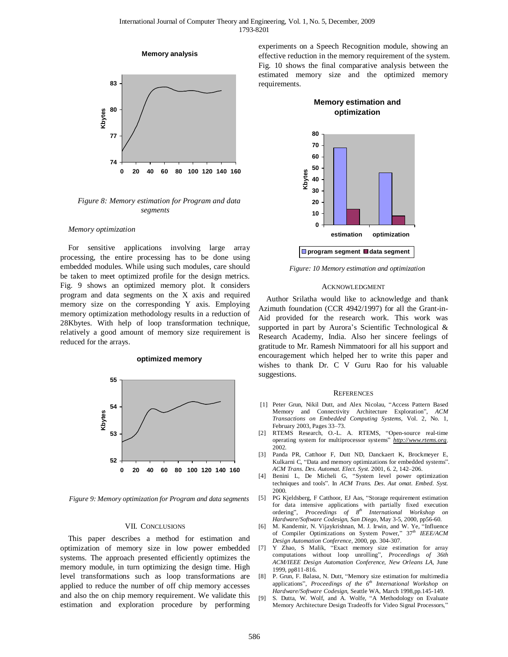



*Figure 8: Memory estimation for Program and data segments* 

#### *Memory optimization*

For sensitive applications involving large array processing, the entire processing has to be done using embedded modules. While using such modules, care should be taken to meet optimized profile for the design metrics. Fig. 9 shows an optimized memory plot. It considers program and data segments on the X axis and required memory size on the corresponding Y axis. Employing memory optimization methodology results in a reduction of 28Kbytes. With help of loop transformation technique, relatively a good amount of memory size requirement is reduced for the arrays.

#### **optimized memory**



*Figure 9: Memory optimization for Program and data segments* 

### VII. CONCLUSIONS

This paper describes a method for estimation and optimization of memory size in low power embedded systems. The approach presented efficiently optimizes the memory module, in turn optimizing the design time. High level transformations such as loop transformations are applied to reduce the number of off chip memory accesses and also the on chip memory requirement. We validate this estimation and exploration procedure by performing experiments on a Speech Recognition module, showing an effective reduction in the memory requirement of the system. Fig. 10 shows the final comparative analysis between the estimated memory size and the optimized memory requirements.

**Memory estimation and** 



*Figure: 10 Memory estimation and optimization* 

#### ACKNOWLEDGMENT

Author Srilatha would like to acknowledge and thank Azimuth foundation (CCR 4942/1997) for all the Grant-in-Aid provided for the research work. This work was supported in part by Aurora's Scientific Technological & Research Academy, India. Also her sincere feelings of gratitude to Mr. Ramesh Nimmatoori for all his support and encouragement which helped her to write this paper and wishes to thank Dr. C V Guru Rao for his valuable suggestions.

#### **REFERENCES**

- [1] Peter Grun, Nikil Dutt, and Alex Nicolau, "Access Pattern Based Memory and Connectivity Architecture Exploration", *ACM Transactions on Embedded Computing Systems*, Vol. 2, No. 1, February 2003, Pages 33–73.
- [2] RTEMS Research, O.-L. A. RTEMS, "Open-source real-time operating system for multiprocessor systems" *<http://www.rtems.org>*. 2002.
- [3] Panda PR, Catthoor F, Dutt ND, Danckaert K, Brockmeyer E, Kulkarni C, "Data and memory optimizations for embedded systems". *ACM Trans. Des. Automat. Elect. Syst.* 2001, 6. 2, 142–206.
- [4] Benini L, De Micheli G, "System level power optimization techniques and tools". In *ACM Trans. Des. Aut omat. Embed. Syst.* 2000.
- [5] PG Kjeldsberg, F Catthoor, EJ Aas, "Storage requirement estimation for data intensive applications with partially fixed execution ordering", *Proceedings of 8th International Workshop on Hardware/Software Codesign*, *San Diego*, May 3-5, 2000, pp56-60.
- [6] M. Kandemir, N. Vijaykrishnan, M. J. Irwin, and W. Ye, "Influence of Compiler Optimizations on System Power," 37*th IEEE/ACM Design Automation Conference*, 2000, pp. 304-307.
- [7] Y Zhao, S Malik, "Exact memory size estimation for array computations without loop unrolling", *Proceedings of 36th ACM/IEEE Design Automation Conference*, *New Orleans LA*, June 1999, pp811-816.
- [8] P. Grun, F. Balasa, N. Dutt, "Memory size estimation for multimedia applications", *Proceedings of the 6th International Workshop on Hardware/Software Codesign*, Seattle WA, March 1998,pp.145-149.
- [9] S. Dutta, W. Wolf, and A. Wolfe, "A Methodology on Evaluate Memory Architecture Design Tradeoffs for Video Signal Processors,"